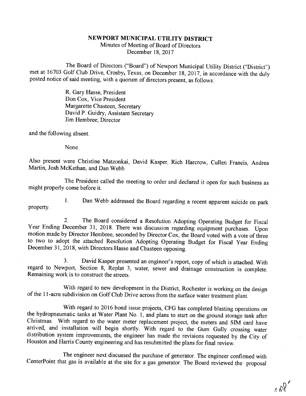## NEWPORT MUNICIPAL UTILITY DISTRICT

Minutes of Meeting of Board of Directors December 18, 2017

The Board of Directors ("Board") of Newport Municipal Utility District ("District") met at 16703 Golf Club Drive, Crosby, Texas, on December 18, 2017, in accordance with the duly posted notice of said meeting, with a quoru

R. Gary Hasse, President Don Cox, Vice President Margarette Chasteen, Secretary David P. Guidry, Assistant Secretary Jim Hembree, Director

and the following absent:

None.

Also present were Christine Matzonkai, David Kasper, Rich Harcrow, Cullen Francis, Andrea Martin, Josh McKethan, and Dan Webb.

The President called the meeting to order and declared it open for such business as might properly come before it.

property.

1. Dan Webb addressed the Board regarding a recent apparent suicide on park

2. The Board considered a Resolution Adopting Operating Budget for Fiscal Year Ending December 31, 2018. There was discussion regarding equipment purchases. Upon motion made by Director Hembree, seconded by Director Cox, t

3. David Kasper presented an engineer's report, copy of which is attached. With regard to Newport, Section 8, Replat 3, water, sewer and drainage constmction is complete. Remaining work is to construct the streets.

With regard to new development in the District, Rochester is working on the design of the 11-acre subdivision on Golf Club Drive across from the surface water treatment plant.

With regard to 2016 bond issue projects, CFG has completed blasting operations on<br>the hydropneumatic tanks at Water Plant No. 1, and plans to start on the ground storage tank after<br>Christmas. With regard to the water meter

The engineer next discussed the purchase of generator. The engineer confirmed with CenterPoint that gas is available at the site for a gas generator. The Board reviewed the proposal